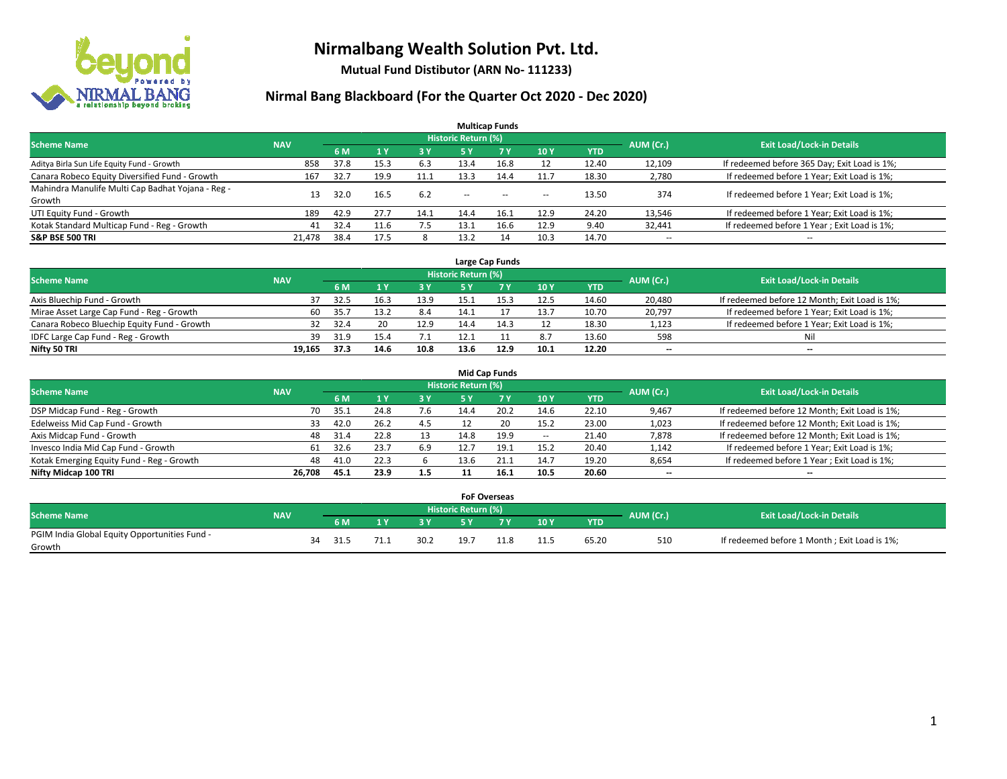

**Mutual Fund Distibutor (ARN No- 111233)**

| <b>Multicap Funds</b>                                                                                    |        |      |                |            |        |           |        |            |                          |                                              |  |  |  |  |
|----------------------------------------------------------------------------------------------------------|--------|------|----------------|------------|--------|-----------|--------|------------|--------------------------|----------------------------------------------|--|--|--|--|
| Historic Return (%)<br><b>Exit Load/Lock-in Details</b><br>AUM (Cr.)<br><b>Scheme Name</b><br><b>NAV</b> |        |      |                |            |        |           |        |            |                          |                                              |  |  |  |  |
|                                                                                                          |        | 6 M  | 1 <sup>v</sup> | <b>3 Y</b> | 5 Y    | <b>7Y</b> | 10Y    | <b>YTD</b> |                          |                                              |  |  |  |  |
| Aditya Birla Sun Life Equity Fund - Growth                                                               | 858    | 37.8 | 15.3           | 6.3        | 13.4   | 16.8      | 12     | 12.40      | 12,109                   | If redeemed before 365 Day; Exit Load is 1%; |  |  |  |  |
| Canara Robeco Equity Diversified Fund - Growth                                                           | 167    | 32.7 | 19.9           | 11.1       | 13.3   | 14.4      | 11.7   | 18.30      | 2,780                    | If redeemed before 1 Year; Exit Load is 1%;  |  |  |  |  |
| Mahindra Manulife Multi Cap Badhat Yojana - Reg -                                                        | 13     | 32.0 | 16.5           | 6.2        | $\sim$ | $\sim$    |        | 13.50      | 374                      | If redeemed before 1 Year; Exit Load is 1%;  |  |  |  |  |
| Growth                                                                                                   |        |      |                |            |        |           | $\sim$ |            |                          |                                              |  |  |  |  |
| UTI Equity Fund - Growth                                                                                 | 189    | 42.9 | 27.7           | 14.1       | 14.4   | 16.1      | 12.9   | 24.20      | 13,546                   | If redeemed before 1 Year; Exit Load is 1%;  |  |  |  |  |
| Kotak Standard Multicap Fund - Reg - Growth                                                              | 41     | 32.4 | 11.6           | 7.5        | 13.1   | 16.f      | 12.9   | 9.40       | 32,441                   | If redeemed before 1 Year; Exit Load is 1%;  |  |  |  |  |
| <b>S&amp;P BSE 500 TRI</b>                                                                               | 21.478 | 38.4 | 17.5           |            | 13.2   | 14        | 10.3   | 14.70      | $\overline{\phantom{a}}$ | $- -$                                        |  |  |  |  |

|                                             |            |                                  |      |      |      | Large Cap Funds |      |            |        |                                               |
|---------------------------------------------|------------|----------------------------------|------|------|------|-----------------|------|------------|--------|-----------------------------------------------|
| <b>Scheme Name</b>                          | AUM (Cr.)  | <b>Exit Load/Lock-in Details</b> |      |      |      |                 |      |            |        |                                               |
|                                             | <b>NAV</b> | 6 M                              |      | 3Y   |      | <b>7Y</b>       | 10Y  | <b>YTD</b> |        |                                               |
| Axis Bluechip Fund - Growth                 |            | 32.5                             | 16.3 | 13.9 |      |                 | 12.5 | 14.60      | 20,480 | If redeemed before 12 Month; Exit Load is 1%; |
| Mirae Asset Large Cap Fund - Reg - Growth   | 60         | 35.7                             | 13.2 | 8.4  | 14.1 |                 | 13.7 | 10.70      | 20,797 | If redeemed before 1 Year; Exit Load is 1%;   |
| Canara Robeco Bluechip Equity Fund - Growth |            | 32.4                             | 20   | 12.9 | 14.4 |                 |      | 18.30      | 1,123  | If redeemed before 1 Year; Exit Load is 1%;   |
| IDFC Large Cap Fund - Reg - Growth          | 39         | 31.9                             |      |      |      |                 | 8.7  | 13.60      | 598    | Nil                                           |
| Nifty 50 TRI                                | 19.165     | 37.3                             | 14.6 | 10.8 | 13.6 | 12.9            | 10.1 | 12.20      | $- -$  | $-$                                           |

| <b>Mid Cap Funds</b>                      |            |           |                                  |           |      |      |                          |            |                          |                                               |  |  |  |
|-------------------------------------------|------------|-----------|----------------------------------|-----------|------|------|--------------------------|------------|--------------------------|-----------------------------------------------|--|--|--|
| <b>Scheme Name</b>                        | <b>NAV</b> | AUM (Cr.) | <b>Exit Load/Lock-in Details</b> |           |      |      |                          |            |                          |                                               |  |  |  |
|                                           |            | 6 M       |                                  | <b>3Y</b> | 5 Y  |      | 10Y                      | <b>YTD</b> |                          |                                               |  |  |  |
| DSP Midcap Fund - Reg - Growth            | 70         | 35.1      | 24.8                             | 7.6       | 14.4 | 20.2 | 14.6                     | 22.10      | 9,467                    | If redeemed before 12 Month; Exit Load is 1%; |  |  |  |
| Edelweiss Mid Cap Fund - Growth           | 33         | 42.0      | 26.2                             | 4.5       |      | 20   | 15.2                     | 23.00      | 1,023                    | If redeemed before 12 Month; Exit Load is 1%; |  |  |  |
| Axis Midcap Fund - Growth                 | 48         | 31.4      | 22.8                             |           | 14.8 | 19.9 | $\overline{\phantom{a}}$ | 21.40      | 7,878                    | If redeemed before 12 Month; Exit Load is 1%; |  |  |  |
| Invesco India Mid Cap Fund - Growth       | 61         | 32.6      | 23.7                             | 6.9       |      | 19.1 | 15.2                     | 20.40      | 1,142                    | If redeemed before 1 Year; Exit Load is 1%;   |  |  |  |
| Kotak Emerging Equity Fund - Reg - Growth | 48         | 41.0      | 22.3                             |           | 13.6 | 21.1 | 14.7                     | 19.20      | 8,654                    | If redeemed before 1 Year; Exit Load is 1%;   |  |  |  |
| Nifty Midcap 100 TRI                      | 26.708     | 45.1      | 23.9                             | 1.5       |      | 16.1 | 10.5                     | 20.60      | $\overline{\phantom{m}}$ | $\overline{\phantom{a}}$                      |  |  |  |

|                                                         |            |    |      |      |                     | <b>FoF Overseas</b> |                 |            |           |                                              |
|---------------------------------------------------------|------------|----|------|------|---------------------|---------------------|-----------------|------------|-----------|----------------------------------------------|
| Scheme Name                                             | <b>NAV</b> |    |      |      | Historic Return (%) |                     |                 |            | AUM (Cr.) | <b>Exit Load/Lock-in Details</b>             |
|                                                         |            |    | 6 M  | o v  |                     | 7 V                 | 10Y             | <b>YTD</b> |           |                                              |
| PGIM India Global Equity Opportunities Fund -<br>Growth |            | 34 | 31.5 | 30.2 | 19.7                |                     | 11 E<br><b></b> | 65.20      | 510       | If redeemed before 1 Month; Exit Load is 1%; |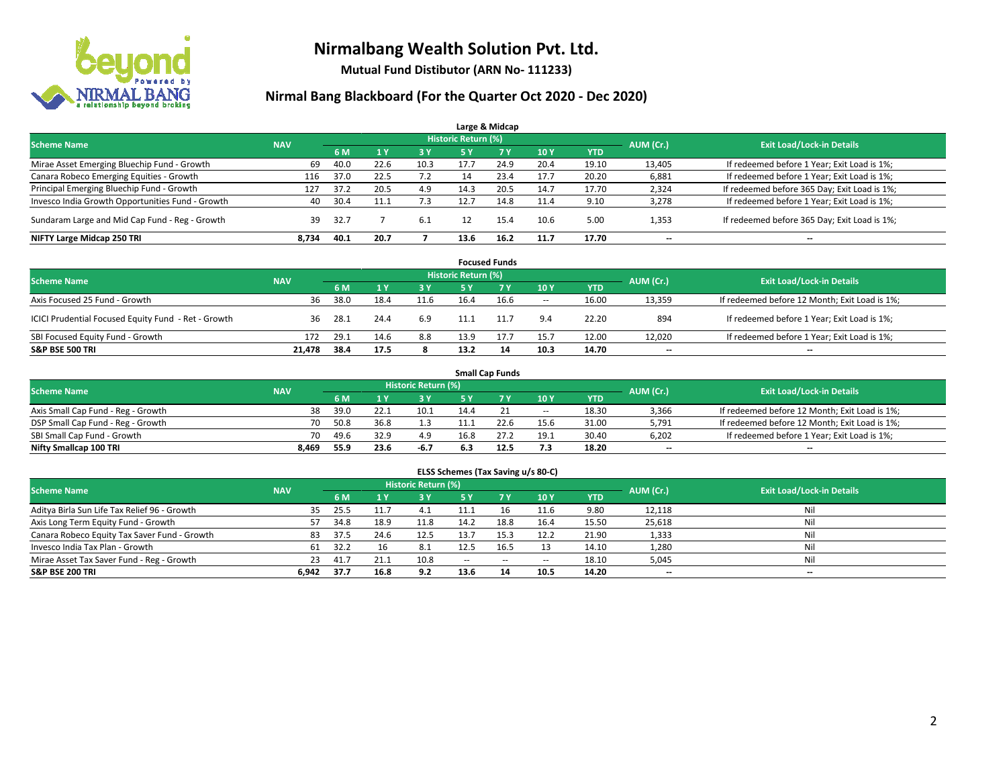

**Mutual Fund Distibutor (ARN No- 111233)**

|                                                  |            |      |      |      |                            | Large & Midcap |      |            |           |                                              |
|--------------------------------------------------|------------|------|------|------|----------------------------|----------------|------|------------|-----------|----------------------------------------------|
| <b>Scheme Name</b>                               | <b>NAV</b> |      |      |      | <b>Historic Return (%)</b> |                |      |            | AUM (Cr.) | <b>Exit Load/Lock-in Details</b>             |
|                                                  |            | 6 M  |      | 3 Y  | 5 Y                        | 7 Y            | 10Y  | <b>YTD</b> |           |                                              |
| Mirae Asset Emerging Bluechip Fund - Growth      | 69         | 40.0 | 22.6 | 10.3 | 17.7                       | 24.9           | 20.4 | 19.10      | 13,405    | If redeemed before 1 Year; Exit Load is 1%;  |
| Canara Robeco Emerging Equities - Growth         | 116        | 37.0 | 22.5 | 7.2  |                            | 23.4           | 17.7 | 20.20      | 6,881     | If redeemed before 1 Year; Exit Load is 1%;  |
| Principal Emerging Bluechip Fund - Growth        | 127        | 37.2 | 20.5 | 4.9  | 14.3                       | 20.5           | 14.7 | 17.70      | 2,324     | If redeemed before 365 Day; Exit Load is 1%; |
| Invesco India Growth Opportunities Fund - Growth | 40         | 30.4 |      | 7.3  | 12.7                       | 14.8           | 11.4 | 9.10       | 3,278     | If redeemed before 1 Year; Exit Load is 1%;  |
| Sundaram Large and Mid Cap Fund - Reg - Growth   | 39         | 32.7 |      | 6.1  |                            | 15.4           | 10.6 | 5.00       | 1,353     | If redeemed before 365 Day; Exit Load is 1%; |
| NIFTY Large Midcap 250 TRI                       | 8.734      | 40.1 | 20.7 |      | 13.6                       | 16.2           | 11.7 | 17.70      | $- -$     | $\overline{\phantom{a}}$                     |

|                                                     |            |                                  |      |           |      | <b>Focused Funds</b> |                          |            |        |                                               |
|-----------------------------------------------------|------------|----------------------------------|------|-----------|------|----------------------|--------------------------|------------|--------|-----------------------------------------------|
| <b>Scheme Name</b>                                  | AUM (Cr.)  | <b>Exit Load/Lock-in Details</b> |      |           |      |                      |                          |            |        |                                               |
|                                                     | <b>NAV</b> | 6 M                              |      | <b>3Y</b> | 5 Y  | <b>7Y</b>            | 10Y                      | <b>YTD</b> |        |                                               |
| Axis Focused 25 Fund - Growth                       | 36         | 38.0                             | 18.4 | 11.6      | 16.4 | 16.6                 | $\overline{\phantom{a}}$ | 16.00      | 13,359 | If redeemed before 12 Month; Exit Load is 1%; |
| ICICI Prudential Focused Equity Fund - Ret - Growth | 36         | 28.1                             | 24.4 | 6.9       |      | 11.7                 | 9.4                      | 22.20      | 894    | If redeemed before 1 Year; Exit Load is 1%;   |
| SBI Focused Equity Fund - Growth                    | 172        | 29.1                             | 14.6 | 8.8       | 13.9 |                      | 15.7                     | 12.00      | 12,020 | If redeemed before 1 Year; Exit Load is 1%;   |
| <b>S&amp;P BSE 500 TRI</b>                          | 21.478     | 38.4                             | 17.5 |           | 13.2 |                      | 10.3                     | 14.70      | $- -$  | $\overline{\phantom{a}}$                      |

|                                    |            |           |                                  |      |      | <b>Small Cap Funds</b> |                          |            |       |                                               |
|------------------------------------|------------|-----------|----------------------------------|------|------|------------------------|--------------------------|------------|-------|-----------------------------------------------|
| <b>Scheme Name</b>                 | <b>NAV</b> | AUM (Cr.) | <b>Exit Load/Lock-in Details</b> |      |      |                        |                          |            |       |                                               |
|                                    |            | 6 M       |                                  |      |      |                        | 10Y                      | <b>YTD</b> |       |                                               |
| Axis Small Cap Fund - Reg - Growth | 38         | 39.0      |                                  | 10.1 | 14.4 |                        | $\overline{\phantom{a}}$ | 18.30      | 3,366 | If redeemed before 12 Month; Exit Load is 1%; |
| DSP Small Cap Fund - Reg - Growth  | 70         | 50.8      | 36.8                             | 1.3  |      |                        | 15.6                     | 31.00      | 5,791 | If redeemed before 12 Month; Exit Load is 1%; |
| SBI Small Cap Fund - Growth        | 70         | 49.6      | 32.9                             | 4.9  | 16.8 |                        | 19.1                     | 30.40      | 6,202 | If redeemed before 1 Year; Exit Load is 1%;   |
| Nifty Smallcap 100 TRI             | 8.469      | 55.9      | 23.6                             | -6.7 | 6.3  | 12.5                   | 7.3                      | 18.20      | $-$   | $\overline{\phantom{a}}$                      |

| ELSS Schemes (Tax Saving u/s 80-C)                                                                              |       |      |                |      |               |             |                          |            |        |                          |  |  |  |  |
|-----------------------------------------------------------------------------------------------------------------|-------|------|----------------|------|---------------|-------------|--------------------------|------------|--------|--------------------------|--|--|--|--|
| <b>Historic Return (%)</b><br><b>Exit Load/Lock-in Details</b><br><b>Scheme Name</b><br>AUM (Cr.)<br><b>NAV</b> |       |      |                |      |               |             |                          |            |        |                          |  |  |  |  |
|                                                                                                                 |       | 6 M  | 1 <sup>1</sup> | 3 Y  | <b>5Y</b>     | <b>77 Y</b> | 10Y                      | <b>YTD</b> |        |                          |  |  |  |  |
| Aditya Birla Sun Life Tax Relief 96 - Growth                                                                    | 35    | 25.5 | 11.7           | 4.1  | 11.1          | 16          | 11.6                     | 9.80       | 12,118 | Nil                      |  |  |  |  |
| Axis Long Term Equity Fund - Growth                                                                             | 57    | 34.8 | 18.9           | 11.8 | 14.2          | 18.8        | 16.4                     | 15.50      | 25,618 | Nil                      |  |  |  |  |
| Canara Robeco Equity Tax Saver Fund - Growth                                                                    | 83    | 37.5 | 24.6           | 12.5 | 13.7          | 15.3        | 12.2                     | 21.90      | 1,333  | Nil                      |  |  |  |  |
| Invesco India Tax Plan - Growth                                                                                 | 61    | 32.2 | 16             | 8.1  | 12.5          | 16.5        | 13                       | 14.10      | 1,280  | Nil                      |  |  |  |  |
| Mirae Asset Tax Saver Fund - Reg - Growth                                                                       | 23.   | 41.7 | 21.1           | 10.8 | $\sim$ $\sim$ | $\sim$      | $\overline{\phantom{a}}$ | 18.10      | 5,045  | Nil                      |  |  |  |  |
| S&P BSE 200 TRI                                                                                                 | 6.942 | 37.7 | 16.8           | 9.2  | 13.6          | 14          | 10.5                     | 14.20      | $- -$  | $\overline{\phantom{a}}$ |  |  |  |  |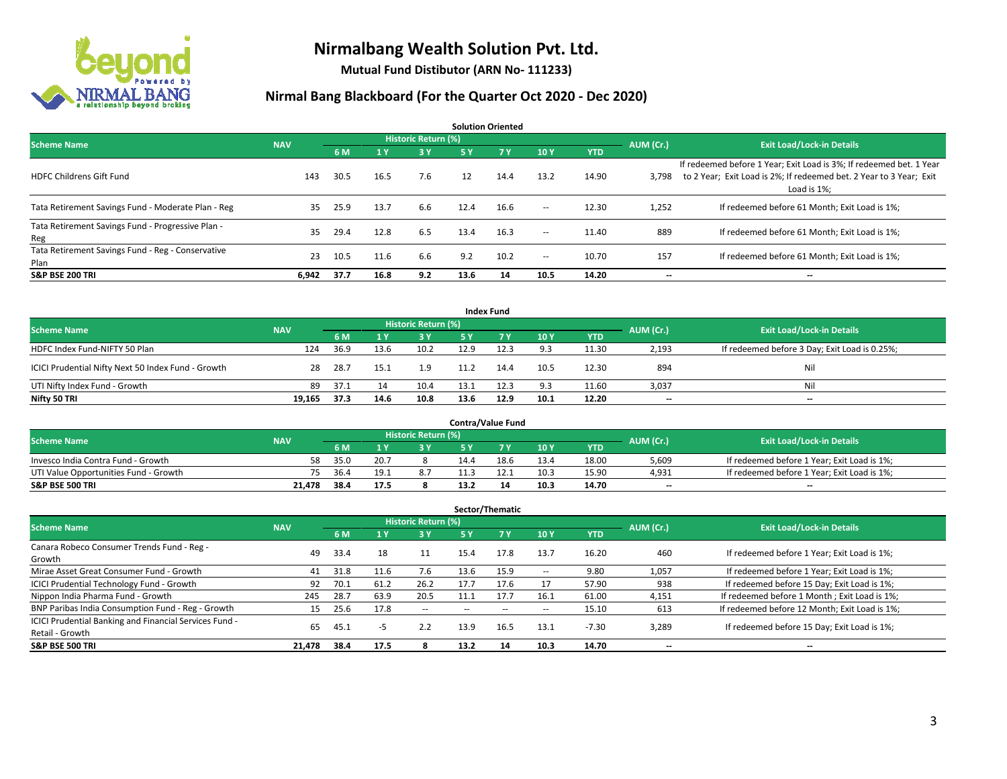

**Mutual Fund Distibutor (ARN No- 111233)**

| <b>Solution Oriented</b>                                  |            |      |      |                            |      |            |               |            |           |                                                                                                                                                           |  |  |  |
|-----------------------------------------------------------|------------|------|------|----------------------------|------|------------|---------------|------------|-----------|-----------------------------------------------------------------------------------------------------------------------------------------------------------|--|--|--|
| <b>Scheme Name</b>                                        | <b>NAV</b> |      |      | <b>Historic Return (%)</b> |      |            |               |            | AUM (Cr.) | <b>Exit Load/Lock-in Details</b>                                                                                                                          |  |  |  |
|                                                           |            | 6 M  | 1 Y  | 3 Y                        | 5 Y  | <b>7 Y</b> | 10Y           | <b>YTD</b> |           |                                                                                                                                                           |  |  |  |
| <b>HDFC Childrens Gift Fund</b>                           | 143        | 30.5 | 16.5 | 7.6                        | 12   | 14.4       | 13.2          | 14.90      | 3.798     | If redeemed before 1 Year; Exit Load is 3%; If redeemed bet. 1 Year<br>to 2 Year; Exit Load is 2%; If redeemed bet. 2 Year to 3 Year; Exit<br>Load is 1%: |  |  |  |
| Tata Retirement Savings Fund - Moderate Plan - Reg        | 35         | 25.9 | 13.7 | 6.6                        | 12.4 | 16.6       | $\sim$ $\sim$ | 12.30      | 1,252     | If redeemed before 61 Month; Exit Load is 1%;                                                                                                             |  |  |  |
| Tata Retirement Savings Fund - Progressive Plan -<br>Reg  | 35         | 29.4 | 12.8 | 6.5                        | 13.4 | 16.3       | $ -$          | 11.40      | 889       | If redeemed before 61 Month; Exit Load is 1%;                                                                                                             |  |  |  |
| Tata Retirement Savings Fund - Reg - Conservative<br>Plan | 23         | 10.5 | 11.6 | 6.6                        | 9.2  | 10.2       | $\!-$         | 10.70      | 157       | If redeemed before 61 Month; Exit Load is 1%;                                                                                                             |  |  |  |
| <b>S&amp;P BSE 200 TRI</b>                                | 6,942      | 37.7 | 16.8 | 9.2                        | 13.6 | 14         | 10.5          | 14.20      | --        | --                                                                                                                                                        |  |  |  |

| <b>Index Fund</b>                                  |            |                                  |      |       |      |           |      |            |       |                                               |  |  |  |  |
|----------------------------------------------------|------------|----------------------------------|------|-------|------|-----------|------|------------|-------|-----------------------------------------------|--|--|--|--|
| <b>Scheme Name</b>                                 | AUM (Cr.)  | <b>Exit Load/Lock-in Details</b> |      |       |      |           |      |            |       |                                               |  |  |  |  |
|                                                    | <b>NAV</b> | 6 M                              |      | $-3V$ | 5 Y  | <b>7Y</b> | 10Y  | <b>YTD</b> |       |                                               |  |  |  |  |
| HDFC Index Fund-NIFTY 50 Plan                      | 124        | 36.9                             | 13.6 | 10.2  | 12.9 | 12.3      | 9.3  | 11.30      | 2,193 | If redeemed before 3 Day; Exit Load is 0.25%; |  |  |  |  |
| ICICI Prudential Nifty Next 50 Index Fund - Growth | 28         | 28.7                             | 15.1 | 1.9   | 11.2 | 14.4      | 10.5 | 12.30      | 894   | Nil                                           |  |  |  |  |
| UTI Nifty Index Fund - Growth                      | 89         | 37.1                             |      | 10.4  | 13.1 | 12.3      | 9.3  | 11.60      | 3,037 | Nil                                           |  |  |  |  |
| Nifty 50 TRI                                       | 19,165     | 37.3                             | 14.6 | 10.8  | 13.6 | 12.9      | 10.1 | 12.20      | $- -$ | $\overline{\phantom{a}}$                      |  |  |  |  |

|                                       |            |                                  |      |      |      | <b>Contra/Value Fund</b> |      |       |       |                                             |
|---------------------------------------|------------|----------------------------------|------|------|------|--------------------------|------|-------|-------|---------------------------------------------|
| <b>Scheme Name</b>                    | AUM (Cr.)  | <b>Exit Load/Lock-in Details</b> |      |      |      |                          |      |       |       |                                             |
|                                       | <b>NAV</b> | 6 M                              |      | 2 V. |      | 7 V                      | 10Y  | YTD   |       |                                             |
| Invesco India Contra Fund - Growth    | 58         | 35.0                             | 20.7 |      | 14.4 | 18.6                     | 13.4 | 18.00 | 5,609 | If redeemed before 1 Year; Exit Load is 1%; |
| UTI Value Opportunities Fund - Growth | 75         | 36.4                             | 19.1 | 8.7  |      |                          | 10.3 | 15.90 | 4,931 | If redeemed before 1 Year; Exit Load is 1%; |
| <b>S&amp;P BSE 500 TRI</b>            | 21.478     | 38.4                             | 17.5 |      | 13.2 |                          | 10.3 | 14.70 | $- -$ | $-$                                         |

| Sector/Thematic                                                           |            |      |                |                          |      |      |      |            |           |                                               |  |  |  |
|---------------------------------------------------------------------------|------------|------|----------------|--------------------------|------|------|------|------------|-----------|-----------------------------------------------|--|--|--|
| <b>Scheme Name</b>                                                        | <b>NAV</b> |      |                | Historic Return (%)      |      |      |      |            | AUM (Cr.) | <b>Exit Load/Lock-in Details</b>              |  |  |  |
|                                                                           |            | 6 M  | 4 <sup>v</sup> | 3 Y                      | 5 Y  | 7Y   | 10Y  | <b>YTD</b> |           |                                               |  |  |  |
| Canara Robeco Consumer Trends Fund - Reg -<br>Growth                      | 49         | 33.4 | 18             | 11                       | 15.4 | 17.8 | 13.7 | 16.20      | 460       | If redeemed before 1 Year; Exit Load is 1%;   |  |  |  |
| Mirae Asset Great Consumer Fund - Growth                                  | 41         | 31.8 | 11.6           | 7.6                      | 13.6 | 15.9 | --   | 9.80       | 1,057     | If redeemed before 1 Year; Exit Load is 1%;   |  |  |  |
| <b>ICICI Prudential Technology Fund - Growth</b>                          | 92         | 70.1 | 61.2           | 26.2                     | 17.7 | 17.6 |      | 57.90      | 938       | If redeemed before 15 Day; Exit Load is 1%;   |  |  |  |
| Nippon India Pharma Fund - Growth                                         | 245        | 28.7 | 63.9           | 20.5                     | 11.1 | 17.7 | 16.1 | 61.00      | 4,151     | If redeemed before 1 Month; Exit Load is 1%;  |  |  |  |
| BNP Paribas India Consumption Fund - Reg - Growth                         | 15         | 25.6 | 17.8           | $\overline{\phantom{a}}$ |      |      | --   | 15.10      | 613       | If redeemed before 12 Month; Exit Load is 1%; |  |  |  |
| ICICI Prudential Banking and Financial Services Fund -<br>Retail - Growth | 65         | 45.1 | -5             | 2.2                      | 13.9 | 16.5 | 13.1 | $-7.30$    | 3,289     | If redeemed before 15 Day; Exit Load is 1%;   |  |  |  |
| <b>S&amp;P BSE 500 TRI</b>                                                | 21.478     | 38.4 | 17.5           |                          | 13.2 | 14   | 10.3 | 14.70      | --        | --                                            |  |  |  |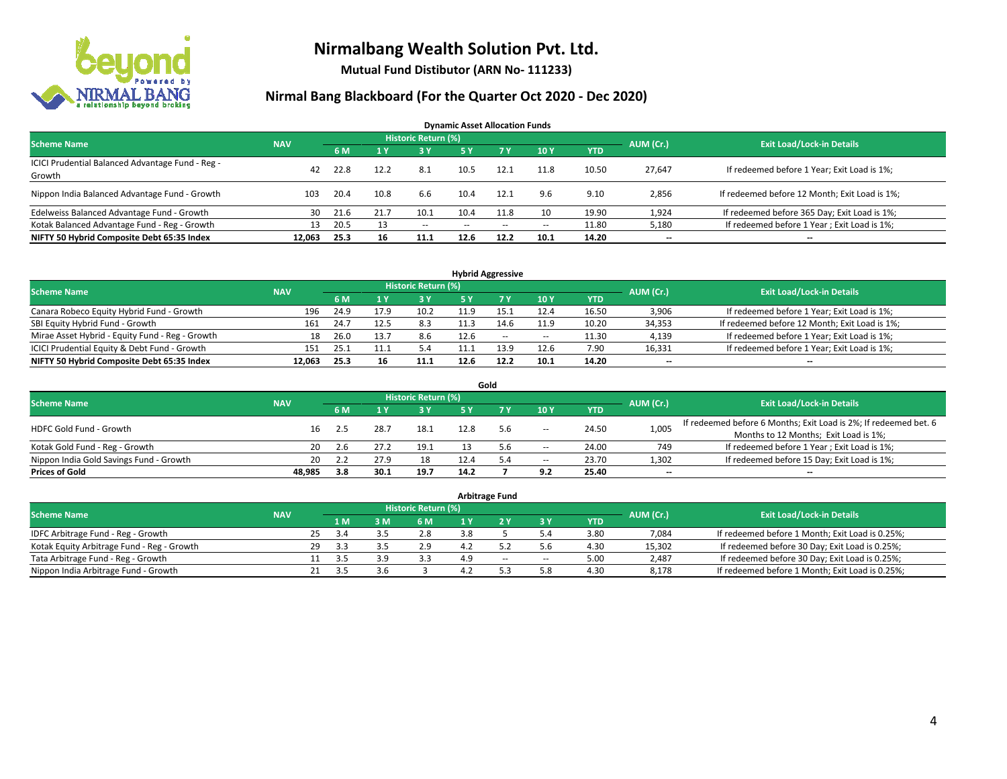

**Mutual Fund Distibutor (ARN No- 111233)**

| <b>Dynamic Asset Allocation Funds</b>                      |            |      |      |                            |      |        |            |            |           |                                               |  |  |  |  |
|------------------------------------------------------------|------------|------|------|----------------------------|------|--------|------------|------------|-----------|-----------------------------------------------|--|--|--|--|
| <b>Scheme Name</b>                                         | <b>NAV</b> |      |      | <b>Historic Return (%)</b> |      |        |            |            | AUM (Cr.) | <b>Exit Load/Lock-in Details</b>              |  |  |  |  |
|                                                            |            | 6 M  |      | <b>3Y</b>                  | 5 Y  | 7 Y.   | <b>10Y</b> | <b>YTD</b> |           |                                               |  |  |  |  |
| ICICI Prudential Balanced Advantage Fund - Reg -<br>Growth | 42         | 22.8 | 12.2 | 8.1                        | 10.5 | 12.1   | 11.8       | 10.50      | 27,647    | If redeemed before 1 Year; Exit Load is 1%;   |  |  |  |  |
| Nippon India Balanced Advantage Fund - Growth              | 103        | 20.4 | 10.8 | 6.6                        | 10.4 | 12.1   | 9.6        | 9.10       | 2,856     | If redeemed before 12 Month; Exit Load is 1%; |  |  |  |  |
| Edelweiss Balanced Advantage Fund - Growth                 | 30         | 21.6 | 21.7 | 10.1                       | 10.4 | 11.8   | 10         | 19.90      | 1,924     | If redeemed before 365 Day; Exit Load is 1%;  |  |  |  |  |
| Kotak Balanced Advantage Fund - Reg - Growth               | 13         | 20.5 |      | $\sim$                     | $-$  | $\sim$ | $\!-$      | 11.80      | 5,180     | If redeemed before 1 Year; Exit Load is 1%;   |  |  |  |  |
| NIFTY 50 Hybrid Composite Debt 65:35 Index                 | 12.063     | 25.3 | 16   | 11.1                       | 12.6 | 12.2   | 10.1       | 14.20      | --        | --                                            |  |  |  |  |

| <b>Hybrid Aggressive</b>                        |            |      |      |                            |      |      |        |            |           |                                               |  |  |  |
|-------------------------------------------------|------------|------|------|----------------------------|------|------|--------|------------|-----------|-----------------------------------------------|--|--|--|
| <b>Scheme Name</b>                              | <b>NAV</b> |      |      | <b>Historic Return (%)</b> |      |      |        |            | AUM (Cr.) | <b>Exit Load/Lock-in Details</b>              |  |  |  |
|                                                 |            | 6 M  |      | 3 Y                        |      |      | 10Y    | <b>YTD</b> |           |                                               |  |  |  |
| Canara Robeco Equity Hybrid Fund - Growth       | 196        | 24.9 | 17.9 | 10.2                       | 11 Q | 15.1 | 12.4   | 16.50      | 3,906     | If redeemed before 1 Year; Exit Load is 1%;   |  |  |  |
| SBI Equity Hybrid Fund - Growth                 | 161        | 24.7 | 12.5 | 8.3                        |      | 14.6 | 11.9   | 10.20      | 34,353    | If redeemed before 12 Month; Exit Load is 1%; |  |  |  |
| Mirae Asset Hybrid - Equity Fund - Reg - Growth | 18         | 26.0 |      | 8.6                        | 12.6 | $-$  | $\sim$ | 11.30      | 4,139     | If redeemed before 1 Year; Exit Load is 1%;   |  |  |  |
| ICICI Prudential Equity & Debt Fund - Growth    | 151        | 25.1 |      | 5.4                        |      | 13.9 | 12.6   | 7.90       | 16,331    | If redeemed before 1 Year; Exit Load is 1%;   |  |  |  |
| NIFTY 50 Hybrid Composite Debt 65:35 Index      | 12.063     | 25.3 | 16   | 11.1                       | 12.6 | 12.2 | 10.1   | 14.20      | $- -$     | $\overline{\phantom{a}}$                      |  |  |  |

|                                         |            |     |      |                     |      | Gold |                          |            |                          |                                                                  |
|-----------------------------------------|------------|-----|------|---------------------|------|------|--------------------------|------------|--------------------------|------------------------------------------------------------------|
| <b>Scheme Name</b>                      | <b>NAV</b> |     |      | Historic Return (%) |      |      |                          |            | AUM (Cr.)                | <b>Exit Load/Lock-in Details</b>                                 |
|                                         |            | 6 M |      | <b>3Y</b>           | 5 Y  |      | 10Y                      | <b>YTD</b> |                          |                                                                  |
| HDFC Gold Fund - Growth                 | 16         |     | 28.7 | 18.1                | 12.8 | 5.6  | $\overline{\phantom{a}}$ | 24.50      | 1,005                    | If redeemed before 6 Months; Exit Load is 2%; If redeemed bet. 6 |
|                                         |            |     |      |                     |      |      |                          |            |                          | Months to 12 Months; Exit Load is 1%;                            |
| Kotak Gold Fund - Reg - Growth          | 20         | 2.6 |      | 19.1                |      | 5.6  | $\hspace{0.05cm} \ldots$ | 24.00      | 749                      | If redeemed before 1 Year; Exit Load is 1%;                      |
| Nippon India Gold Savings Fund - Growth | 20         | 2.2 | 27.9 | 18                  | 12.4 | 5.4  | $\!-$                    | 23.70      | 1,302                    | If redeemed before 15 Day; Exit Load is 1%;                      |
| <b>Prices of Gold</b>                   | 48.985     | 3.8 | 30.1 | 19.7                | 14.2 |      | 9.2                      | 25.40      | $\overline{\phantom{a}}$ | $\overline{\phantom{a}}$                                         |

| <b>Arbitrage Fund</b>                      |            |    |      |     |                     |     |     |        |            |           |                                                 |  |  |
|--------------------------------------------|------------|----|------|-----|---------------------|-----|-----|--------|------------|-----------|-------------------------------------------------|--|--|
| <b>Scheme Name</b>                         | <b>NAV</b> |    |      |     | Historic Return (%) |     |     |        |            | AUM (Cr.) | <b>Exit Load/Lock-in Details</b>                |  |  |
|                                            |            |    | 4 M. | 3 M | 6 M                 |     |     | 3 Y    | <b>YTD</b> |           |                                                 |  |  |
| IDFC Arbitrage Fund - Reg - Growth         |            | 25 | 3.4  |     | 2.8                 |     |     | 5.4    | 3.80       | 7,084     | If redeemed before 1 Month; Exit Load is 0.25%; |  |  |
| Kotak Equity Arbitrage Fund - Reg - Growth |            | 29 | -3.3 |     | 2.9                 | 4.2 |     |        | 4.30       | 15,302    | If redeemed before 30 Day; Exit Load is 0.25%;  |  |  |
| Tata Arbitrage Fund - Reg - Growth         |            |    | 35   |     | 3.3                 | 4.9 | $-$ | $\sim$ | 5.00       | 2.487     | If redeemed before 30 Day; Exit Load is 0.25%;  |  |  |
| Nippon India Arbitrage Fund - Growth       |            |    |      | 3.b |                     |     |     | 5.8    | 4.30       | 8.178     | If redeemed before 1 Month; Exit Load is 0.25%; |  |  |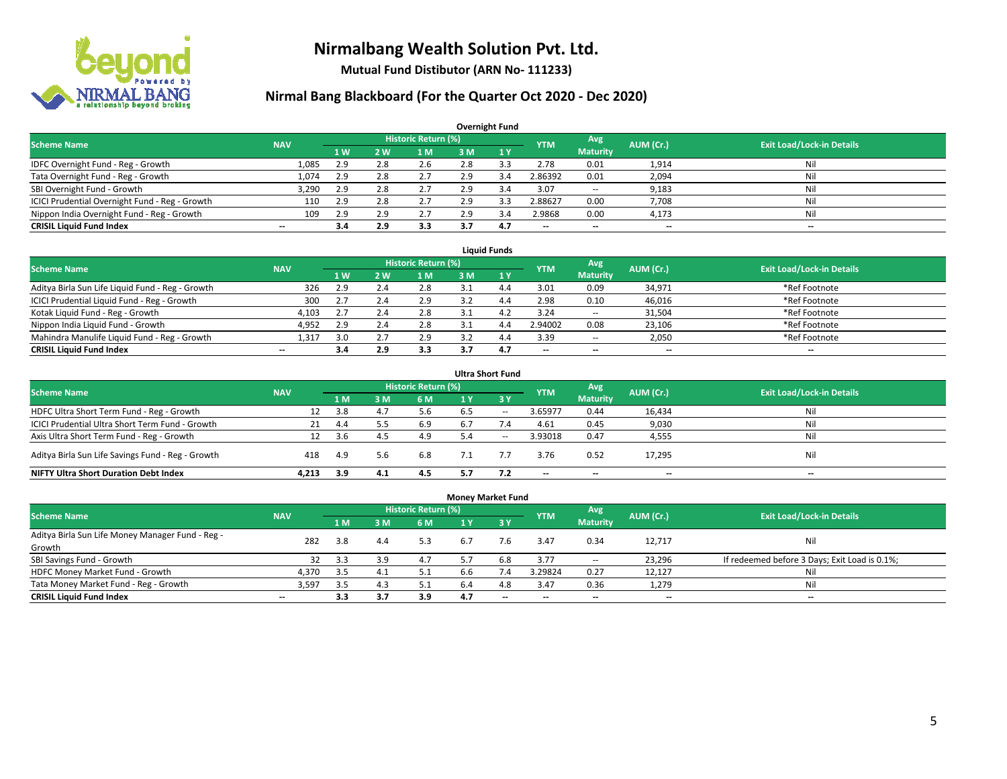

**Mutual Fund Distibutor (ARN No- 111233)**

| <b>Overnight Fund</b>                          |                          |     |     |                            |     |              |            |                          |           |                                  |  |  |  |  |
|------------------------------------------------|--------------------------|-----|-----|----------------------------|-----|--------------|------------|--------------------------|-----------|----------------------------------|--|--|--|--|
| <b>Scheme Name</b>                             | <b>NAV</b>               |     |     | <b>Historic Return (%)</b> |     |              | <b>YTM</b> | Avg                      | AUM (Cr.) | <b>Exit Load/Lock-in Details</b> |  |  |  |  |
|                                                |                          | 1 W | 2 W | ıм                         | 3 M | $\sqrt{1}$ Y |            | <b>Maturity</b>          |           |                                  |  |  |  |  |
| IDFC Overnight Fund - Reg - Growth             | 1,085                    | 2.9 | 2.8 | 2.6                        | 2.8 |              | 2.78       | 0.01                     | 1,914     | Nil                              |  |  |  |  |
| Tata Overnight Fund - Reg - Growth             | 1,074                    | 2.9 | 2.8 | 2.7                        | 2.9 | 3.4          | 2.86392    | 0.01                     | 2,094     | Ni                               |  |  |  |  |
| SBI Overnight Fund - Growth                    | 3,290                    | 2.9 | 2.8 | 2.7                        | 2.9 | 3.4          | 3.07       | $\overline{\phantom{a}}$ | 9,183     | Nil                              |  |  |  |  |
| ICICI Prudential Overnight Fund - Reg - Growth | 110                      | 2.9 | 2.8 | 2.7                        | 2.9 |              | 2.88627    | 0.00                     | 7,708     | Nil                              |  |  |  |  |
| Nippon India Overnight Fund - Reg - Growth     | 109                      | 2.9 | 2.9 | 2.7                        | 2.9 | 3.4          | 2.9868     | 0.00                     | 4,173     | Nil                              |  |  |  |  |
| <b>CRISIL Liquid Fund Index</b>                | $\overline{\phantom{a}}$ | 3.4 | 2.9 | 3.3                        | 3.7 | 4.7          | --         | $\overline{\phantom{a}}$ | --        | $\overline{\phantom{a}}$         |  |  |  |  |

| <b>Liquid Funds</b>                              |            |                |            |                     |     |     |            |                          |           |                                  |  |  |  |
|--------------------------------------------------|------------|----------------|------------|---------------------|-----|-----|------------|--------------------------|-----------|----------------------------------|--|--|--|
| <b>Scheme Name</b>                               | <b>NAV</b> |                |            | Historic Return (%) |     |     | <b>YTM</b> | Avg                      | AUM (Cr.) | <b>Exit Load/Lock-in Details</b> |  |  |  |
|                                                  |            | 1 <sub>W</sub> | 2 W        | 1 M                 | з м |     |            | <b>Maturity</b>          |           |                                  |  |  |  |
| Aditya Birla Sun Life Liquid Fund - Reg - Growth | 326        | 2.9            |            | 2.8                 |     |     | 3.01       | 0.09                     | 34,971    | *Ref Footnote                    |  |  |  |
| ICICI Prudential Liquid Fund - Reg - Growth      | 300        |                |            | 2.9                 |     | 4.4 | 2.98       | 0.10                     | 46,016    | *Ref Footnote                    |  |  |  |
| Kotak Liquid Fund - Reg - Growth                 | 4,103      | 2.7            | <b>2.4</b> | 2.8                 |     | 4   | 3.24       | $\sim$                   | 31,504    | *Ref Footnote                    |  |  |  |
| Nippon India Liquid Fund - Growth                | 4,952      | 2.9            |            | 2.8                 |     | 4.4 | 2.94002    | 0.08                     | 23,106    | *Ref Footnote                    |  |  |  |
| Mahindra Manulife Liquid Fund - Reg - Growth     | 1.31.      | 3.0            |            | 2.9                 |     | 4.4 | 3.39       | $\sim$                   | 2,050     | *Ref Footnote                    |  |  |  |
| <b>CRISIL Liquid Fund Index</b>                  | $- -$      |                | 2.9        | 3.3                 |     | 4.7 | $- -$      | $\overline{\phantom{a}}$ | $- -$     | $-$                              |  |  |  |

| <b>Ultra Short Fund</b>                           |            |     |     |                            |     |              |            |                          |                          |                                  |  |  |  |
|---------------------------------------------------|------------|-----|-----|----------------------------|-----|--------------|------------|--------------------------|--------------------------|----------------------------------|--|--|--|
| <b>Scheme Name</b>                                | <b>NAV</b> |     |     | <b>Historic Return (%)</b> |     |              | <b>YTM</b> | Avg                      | AUM (Cr.)                | <b>Exit Load/Lock-in Details</b> |  |  |  |
|                                                   |            | 1 M | 3 M | <b>6 M</b>                 | 1 Y | $\angle$ 3 Y |            | <b>Maturity</b>          |                          |                                  |  |  |  |
| HDFC Ultra Short Term Fund - Reg - Growth         | 12         | 3.8 | 4.7 | 5.6                        | 6.5 | $\sim$       | 3.65977    | 0.44                     | 16,434                   | Nil                              |  |  |  |
| ICICI Prudential Ultra Short Term Fund - Growth   | 21         | 4.4 |     | 6.9                        |     | 7.4          | 4.61       | 0.45                     | 9,030                    | Nil                              |  |  |  |
| Axis Ultra Short Term Fund - Reg - Growth         | 12         | 3.6 |     | 4.9                        |     | $- -$        | 3.93018    | 0.47                     | 4,555                    | Nil                              |  |  |  |
| Aditya Birla Sun Life Savings Fund - Reg - Growth | 418        | 4.9 | 5.6 | 6.8                        |     |              | 3.76       | 0.52                     | 17,295                   | Nil                              |  |  |  |
| <b>NIFTY Ultra Short Duration Debt Index</b>      | 4.213      | 3.9 | 4.1 | 4.5                        | 5.7 |              | --         | $\overline{\phantom{a}}$ | $\overline{\phantom{a}}$ | $-$                              |  |  |  |

| <b>Money Market Fund</b>                         |                          |                |                |                            |     |                          |                          |                          |           |                                               |  |  |  |  |
|--------------------------------------------------|--------------------------|----------------|----------------|----------------------------|-----|--------------------------|--------------------------|--------------------------|-----------|-----------------------------------------------|--|--|--|--|
| <b>Scheme Name</b>                               | <b>NAV</b>               |                |                | <b>Historic Return (%)</b> |     |                          | <b>YTM</b>               | Avg                      | AUM (Cr.) | <b>Exit Load/Lock-in Details</b>              |  |  |  |  |
|                                                  |                          | 1 <sub>M</sub> | 3 <sub>M</sub> | 6 M                        | 1 Y | $Z$ 3 $V$                |                          | <b>Maturity</b>          |           |                                               |  |  |  |  |
| Aditya Birla Sun Life Money Manager Fund - Reg - | 282                      | 3.8            | 4.4            | 5.3                        | 6.7 | 7.6                      | 3.47                     | 0.34                     | 12,717    | Nil                                           |  |  |  |  |
| Growth                                           |                          |                |                |                            |     |                          |                          |                          |           |                                               |  |  |  |  |
| SBI Savings Fund - Growth                        | 32                       | 3.3            | 3.9            | 4.7                        |     | 6.8                      | 3.77                     | $\overline{\phantom{a}}$ | 23,296    | If redeemed before 3 Days; Exit Load is 0.1%; |  |  |  |  |
| HDFC Money Market Fund - Growth                  | 4,370                    | 3.5            | 4.⊥            | 5.1                        | b.b |                          | 3.29824                  | 0.27                     | 12,127    | Nil                                           |  |  |  |  |
| Tata Money Market Fund - Reg - Growth            | 3,597                    | 3.5            | 4.3            | 5.1                        |     | 4.8                      | 3.47                     | 0.36                     | 1,279     | Nil                                           |  |  |  |  |
| <b>CRISIL Liquid Fund Index</b>                  | $\overline{\phantom{a}}$ | 3.3            | 3.7            | 3.9                        | 4.7 | $\overline{\phantom{a}}$ | $\overline{\phantom{a}}$ | $\overline{\phantom{a}}$ | $- -$     | $\overline{\phantom{a}}$                      |  |  |  |  |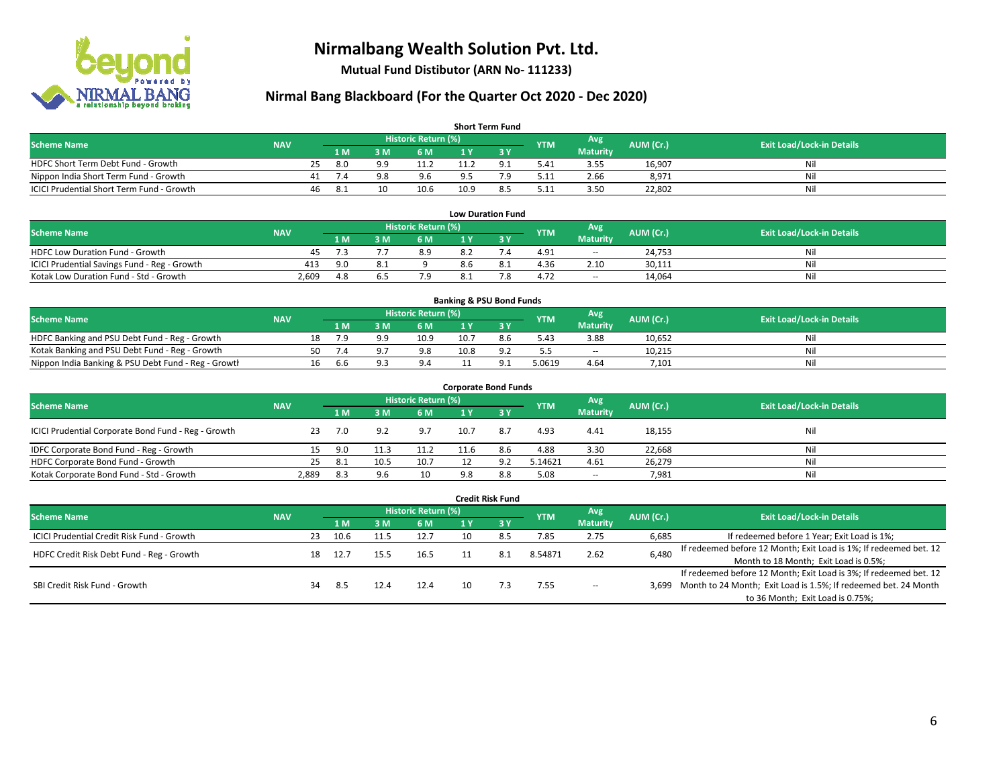

**Mutual Fund Distibutor (ARN No- 111233)**

### **Nirmal Bang Blackboard (For the Quarter Oct 2020 - Dec 2020)**

| <b>Short Term Fund</b>                           |            |    |      |     |                     |       |  |            |                 |           |                                  |  |  |
|--------------------------------------------------|------------|----|------|-----|---------------------|-------|--|------------|-----------------|-----------|----------------------------------|--|--|
| <b>Scheme Name</b>                               | <b>NAV</b> |    |      |     | Historic Return (%) |       |  | <b>YTM</b> | Avg             | AUM (Cr.) | <b>Exit Load/Lock-in Details</b> |  |  |
|                                                  |            |    | 1 M  | 3 M | 6 M                 | 1 Y   |  |            | <b>Maturity</b> |           |                                  |  |  |
| HDFC Short Term Debt Fund - Growth               |            | 25 | 8.0  | QQ  |                     | 11.2  |  | 5.41       | 3.55            | 16,907    | Nil                              |  |  |
| Nippon India Short Term Fund - Growth            |            |    | 74   | 9.8 | 9.6                 | $Q$ 5 |  | 5.11       | 2.66            | 8,971     | Nil                              |  |  |
| <b>ICICI Prudential Short Term Fund - Growth</b> |            | 46 | -8.1 |     | 10.6                | 10.9  |  | 5.11       | 3.50            | 22,802    | Nil                              |  |  |

|                                              |            |                     |                |     |     | <b>Low Duration Fund</b> |            |                 |                  |                                  |
|----------------------------------------------|------------|---------------------|----------------|-----|-----|--------------------------|------------|-----------------|------------------|----------------------------------|
| <b>Scheme Name</b>                           | <b>NAV</b> | Historic Return (%) |                |     |     |                          | <b>YTM</b> | Avg             | <b>AUM</b> (Cr.) | <b>Exit Load/Lock-in Details</b> |
|                                              |            | '1 M                | : M            | 6 M |     |                          |            | <b>Maturity</b> |                  |                                  |
| HDFC Low Duration Fund - Growth              | 45         |                     |                | 8.9 | 8.2 |                          | 4.91       | $\sim$          | 24,753           | Nil                              |
| ICICI Prudential Savings Fund - Reg - Growth | 413        | 9.0                 | O <sub>1</sub> |     | 8.6 |                          | 4.36       | 2.10            | 30,111           | Nil                              |
| Kotak Low Duration Fund - Std - Growth       | 2,609      | 4.8                 |                |     | 8.1 | 70                       | 4.72       | $\sim$          | 14.064           | Nil                              |

| <b>Banking &amp; PSU Bond Funds</b>                 |            |    |     |            |                     |      |     |            |                 |           |                                  |  |  |
|-----------------------------------------------------|------------|----|-----|------------|---------------------|------|-----|------------|-----------------|-----------|----------------------------------|--|--|
| <b>Scheme Name</b>                                  | <b>NAV</b> |    |     |            | Historic Return (%) |      |     | <b>YTM</b> | Avg             | AUM (Cr.) | <b>Exit Load/Lock-in Details</b> |  |  |
|                                                     |            |    | 1 M | . M        | 6 M                 |      |     |            | <b>Maturity</b> |           |                                  |  |  |
| HDFC Banking and PSU Debt Fund - Reg - Growth       |            | 18 |     | $^{\circ}$ | 10.9                | 10.7 | 8.6 | 5.43       | 3.88            | 10,652    | Nil                              |  |  |
| Kotak Banking and PSU Debt Fund - Reg - Growth      |            | 50 |     |            | 9.8                 | 10.8 |     | 5.5        | $\sim$          | 10.215    | Nil                              |  |  |
| Nippon India Banking & PSU Debt Fund - Reg - Growth |            | 16 | b.t |            | 9.4                 |      |     | 5.0619     | 4.64            | 7,101     | Nil                              |  |  |

| <b>Corporate Bond Funds</b>                         |            |      |      |                            |      |              |            |                          |           |                                  |  |  |  |  |
|-----------------------------------------------------|------------|------|------|----------------------------|------|--------------|------------|--------------------------|-----------|----------------------------------|--|--|--|--|
| <b>Scheme Name</b>                                  | <b>NAV</b> |      |      | <b>Historic Return (%)</b> |      |              | <b>YTM</b> | Avg                      | AUM (Cr.) | <b>Exit Load/Lock-in Details</b> |  |  |  |  |
|                                                     |            | 1 M  | 3 M  | 6 M                        | 1 Y  | $\sqrt{3}$ Y |            | <b>Maturity</b>          |           |                                  |  |  |  |  |
| ICICI Prudential Corporate Bond Fund - Reg - Growth | 23         | 7.0  | 9.2  | 9.7                        | 10.7 | 8.7          | 4.93       | 4.41                     | 18,155    | Nil                              |  |  |  |  |
| IDFC Corporate Bond Fund - Reg - Growth             |            | 9.0  | 11.3 | 11.2                       | 11.6 | 8.6          | 4.88       | 3.30                     | 22,668    | Nil                              |  |  |  |  |
| HDFC Corporate Bond Fund - Growth                   | 25         | -8.1 | 10.5 | 10.7                       |      | 9.2          | 5.14621    | 4.61                     | 26,279    | Nil                              |  |  |  |  |
| Kotak Corporate Bond Fund - Std - Growth            | 2,889      | -8.3 | 9.6  | 10                         | 9.8  | 8.8          | 5.08       | $\overline{\phantom{a}}$ | 7,981     | Nil                              |  |  |  |  |

| <b>Credit Risk Fund</b>                    |            |    |      |     |                     |    |            |            |                        |           |                                                                       |  |  |
|--------------------------------------------|------------|----|------|-----|---------------------|----|------------|------------|------------------------|-----------|-----------------------------------------------------------------------|--|--|
| <b>Scheme Name</b>                         | <b>NAV</b> |    |      |     | Historic Return (%) |    |            | <b>YTM</b> | Avg<br><b>Maturity</b> | AUM (Cr.) | <b>Exit Load/Lock-in Details</b>                                      |  |  |
|                                            |            |    |      | 3 M | 6 M                 |    | <b>73Y</b> |            |                        |           |                                                                       |  |  |
| ICICI Prudential Credit Risk Fund - Growth |            | 23 | 10.6 |     | 12.7                |    | 8.5        | 7.85       | 2.75                   | 6,685     | If redeemed before 1 Year; Exit Load is 1%;                           |  |  |
| HDFC Credit Risk Debt Fund - Reg - Growth  |            | 18 | 12.7 |     | 16.5                |    | -8.1       | 8.54871    | 2.62                   | 6,480     | If redeemed before 12 Month; Exit Load is 1%; If redeemed bet. 12     |  |  |
|                                            |            |    |      |     |                     |    |            |            |                        |           | Month to 18 Month; Exit Load is 0.5%;                                 |  |  |
| SBI Credit Risk Fund - Growth              |            |    |      |     |                     |    |            |            |                        |           | If redeemed before 12 Month; Exit Load is 3%; If redeemed bet. 12     |  |  |
|                                            |            | 34 | 8.5  |     | 12.4                | 10 |            | 7.55       | $- -$                  |           | 3,699 Month to 24 Month; Exit Load is 1.5%; If redeemed bet. 24 Month |  |  |
|                                            |            |    |      |     |                     |    |            |            |                        |           | to 36 Month; Exit Load is 0.75%;                                      |  |  |

#### 6